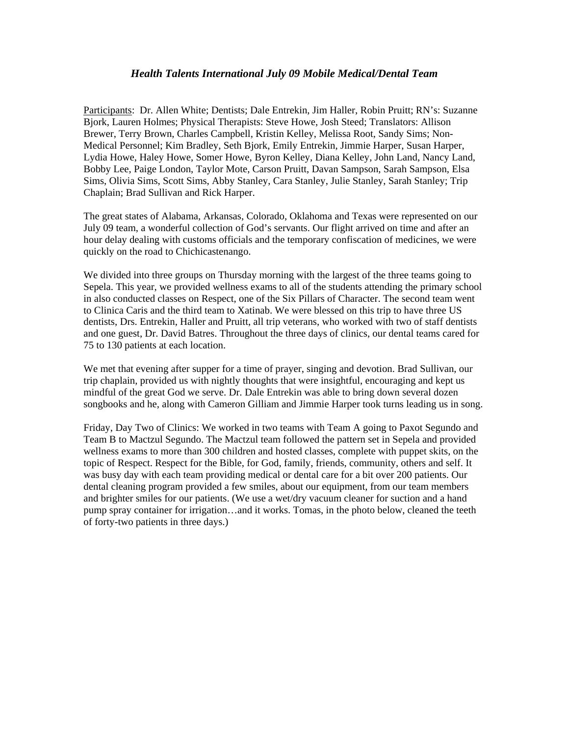## *Health Talents International July 09 Mobile Medical/Dental Team*

Participants: Dr. Allen White; Dentists; Dale Entrekin, Jim Haller, Robin Pruitt; RN's: Suzanne Bjork, Lauren Holmes; Physical Therapists: Steve Howe, Josh Steed; Translators: Allison Brewer, Terry Brown, Charles Campbell, Kristin Kelley, Melissa Root, Sandy Sims; Non-Medical Personnel; Kim Bradley, Seth Bjork, Emily Entrekin, Jimmie Harper, Susan Harper, Lydia Howe, Haley Howe, Somer Howe, Byron Kelley, Diana Kelley, John Land, Nancy Land, Bobby Lee, Paige London, Taylor Mote, Carson Pruitt, Davan Sampson, Sarah Sampson, Elsa Sims, Olivia Sims, Scott Sims, Abby Stanley, Cara Stanley, Julie Stanley, Sarah Stanley; Trip Chaplain; Brad Sullivan and Rick Harper.

The great states of Alabama, Arkansas, Colorado, Oklahoma and Texas were represented on our July 09 team, a wonderful collection of God's servants. Our flight arrived on time and after an hour delay dealing with customs officials and the temporary confiscation of medicines, we were quickly on the road to Chichicastenango.

We divided into three groups on Thursday morning with the largest of the three teams going to Sepela. This year, we provided wellness exams to all of the students attending the primary school in also conducted classes on Respect, one of the Six Pillars of Character. The second team went to Clinica Caris and the third team to Xatinab. We were blessed on this trip to have three US dentists, Drs. Entrekin, Haller and Pruitt, all trip veterans, who worked with two of staff dentists and one guest, Dr. David Batres. Throughout the three days of clinics, our dental teams cared for 75 to 130 patients at each location.

We met that evening after supper for a time of prayer, singing and devotion. Brad Sullivan, our trip chaplain, provided us with nightly thoughts that were insightful, encouraging and kept us mindful of the great God we serve. Dr. Dale Entrekin was able to bring down several dozen songbooks and he, along with Cameron Gilliam and Jimmie Harper took turns leading us in song.

Friday, Day Two of Clinics: We worked in two teams with Team A going to Paxot Segundo and Team B to Mactzul Segundo. The Mactzul team followed the pattern set in Sepela and provided wellness exams to more than 300 children and hosted classes, complete with puppet skits, on the topic of Respect. Respect for the Bible, for God, family, friends, community, others and self. It was busy day with each team providing medical or dental care for a bit over 200 patients. Our dental cleaning program provided a few smiles, about our equipment, from our team members and brighter smiles for our patients. (We use a wet/dry vacuum cleaner for suction and a hand pump spray container for irrigation…and it works. Tomas, in the photo below, cleaned the teeth of forty-two patients in three days.)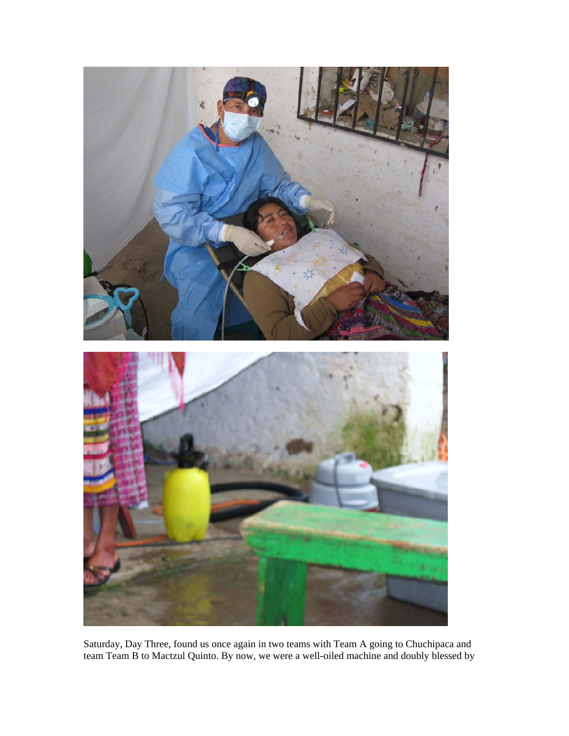

Saturday, Day Three, found us once again in two teams with Team A going to Chuchipaca and team Team B to Mactzul Quinto. By now, we were a well-oiled machine and doubly blessed by